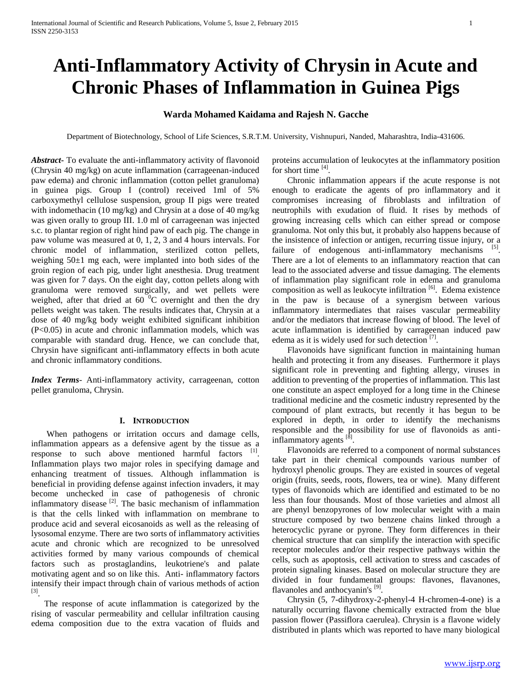# **Anti-Inflammatory Activity of Chrysin in Acute and Chronic Phases of Inflammation in Guinea Pigs**

# **Warda Mohamed Kaidama and Rajesh N. Gacche**

Department of Biotechnology, School of Life Sciences, S.R.T.M. University, Vishnupuri, Nanded, Maharashtra, India-431606.

*Abstract***-** To evaluate the anti-inflammatory activity of flavonoid (Chrysin 40 mg/kg) on acute inflammation (carrageenan-induced paw edema) and chronic inflammation (cotton pellet granuloma) in guinea pigs. Group I (control) received 1ml of 5% carboxymethyl cellulose suspension, group II pigs were treated with indomethacin (10 mg/kg) and Chrysin at a dose of 40 mg/kg was given orally to group III. 1.0 ml of carrageenan was injected s.c. to plantar region of right hind paw of each pig. The change in paw volume was measured at 0, 1, 2, 3 and 4 hours intervals. For chronic model of inflammation, sterilized cotton pellets, weighing 50±1 mg each, were implanted into both sides of the groin region of each pig, under light anesthesia. Drug treatment was given for 7 days. On the eight day, cotton pellets along with granuloma were removed surgically, and wet pellets were weighed, after that dried at 60 $\degree$ C overnight and then the dry pellets weight was taken. The results indicates that, Chrysin at a dose of 40 mg/kg body weight exhibited significant inhibition (P<0.05) in acute and chronic inflammation models, which was comparable with standard drug. Hence, we can conclude that, Chrysin have significant anti-inflammatory effects in both acute and chronic inflammatory conditions.

*Index Terms*- Anti-inflammatory activity, carrageenan, cotton pellet granuloma, Chrysin.

#### **I. INTRODUCTION**

When pathogens or irritation occurs and damage cells, inflammation appears as a defensive agent by the tissue as a response to such above mentioned harmful factors [1]. Inflammation plays two major roles in specifying damage and enhancing treatment of tissues. Although inflammation is beneficial in providing defense against infection invaders, it may become unchecked in case of pathogenesis of chronic inflammatory disease [2]. The basic mechanism of inflammation is that the cells linked with inflammation on membrane to produce acid and several eicosanoids as well as the releasing of lysosomal enzyme. There are two sorts of inflammatory activities acute and chronic which are recognized to be unresolved activities formed by many various compounds of chemical factors such as prostaglandins, leukotriene's and palate motivating agent and so on like this. Anti- inflammatory factors intensify their impact through chain of various methods of action [3] .

 The response of acute inflammation is categorized by the rising of vascular permeability and cellular infiltration causing edema composition due to the extra vacation of fluids and proteins accumulation of leukocytes at the inflammatory position for short time  $^{[4]}$ .

 Chronic inflammation appears if the acute response is not enough to eradicate the agents of pro inflammatory and it compromises increasing of fibroblasts and infiltration of neutrophils with exudation of fluid. It rises by methods of growing increasing cells which can either spread or compose granuloma. Not only this but, it probably also happens because of the insistence of infection or antigen, recurring tissue injury, or a failure of endogenous anti-inflammatory mechanisms [5]. There are a lot of elements to an inflammatory reaction that can lead to the associated adverse and tissue damaging. The elements of inflammation play significant role in edema and granuloma composition as well as leukocyte infiltration [6]. Edema existence in the paw is because of a synergism between various inflammatory intermediates that raises vascular permeability and/or the mediators that increase flowing of blood. The level of acute inflammation is identified by carrageenan induced paw edema as it is widely used for such detection  $[7]$ .

 Flavonoids have significant function in maintaining human health and protecting it from any diseases. Furthermore it plays significant role in preventing and fighting allergy, viruses in addition to preventing of the properties of inflammation. This last one constitute an aspect employed for a long time in the Chinese traditional medicine and the cosmetic industry represented by the compound of plant extracts, but recently it has begun to be explored in depth, in order to identify the mechanisms responsible and the possibility for use of flavonoids as antiinflammatory agents [8].

 Flavonoids are referred to a component of normal substances take part in their chemical compounds various number of hydroxyl phenolic groups. They are existed in sources of vegetal origin (fruits, seeds, roots, flowers, tea or wine). Many different types of flavonoids which are identified and estimated to be no less than four thousands. Most of those varieties and almost all are phenyl benzopyrones of low molecular weight with a main structure composed by two benzene chains linked through a heterocyclic pyrane or pyrone. They form differences in their chemical structure that can simplify the interaction with specific receptor molecules and/or their respective pathways within the cells, such as apoptosis, cell activation to stress and cascades of protein signaling kinases. Based on molecular structure they are divided in four fundamental groups: flavones, flavanones, flavanoles and anthocyanin's [9].

 Chrysin (5, 7-dihydroxy-2-phenyl-4 H-chromen-4-one) is a naturally occurring flavone chemically extracted from the blue passion flower (Passiflora caerulea). Chrysin is a flavone widely distributed in plants which was reported to have many biological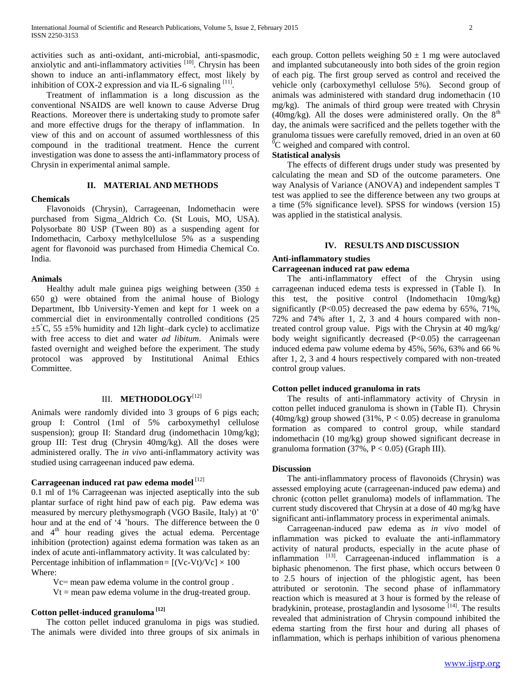activities such as anti-oxidant, anti-microbial, anti-spasmodic, anxiolytic and anti-inflammatory activities <sup>[10]</sup>. Chrysin has been shown to induce an anti-inflammatory effect, most likely by inhibition of COX-2 expression and via IL-6 signaling  $^{[11]}$ .

 Treatment of inflammation is a long discussion as the conventional NSAIDS are well known to cause Adverse Drug Reactions. Moreover there is undertaking study to promote safer and more effective drugs for the therapy of inflammation. In view of this and on account of assumed worthlessness of this compound in the traditional treatment. Hence the current investigation was done to assess the anti-inflammatory process of Chrysin in experimental animal sample.

#### **II. MATERIAL AND METHODS**

#### **Chemicals**

 Flavonoids (Chrysin), Carrageenan, Indomethacin were purchased from Sigma Aldrich Co. (St Louis, MO, USA). Polysorbate 80 USP (Tween 80) as a suspending agent for Indomethacin, Carboxy methylcellulose 5% as a suspending agent for flavonoid was purchased from Himedia Chemical Co.

#### **Animals**

India.

Healthy adult male guinea pigs weighing between  $(350 \pm$ 650 g) were obtained from the animal house of Biology Department, Ibb University-Yemen and kept for 1 week on a commercial diet in environmentally controlled conditions (25  $\pm 5^{\circ}$ C, 55  $\pm 5\%$  humidity and 12h light–dark cycle) to acclimatize with free access to diet and water *ad libitum*. Animals were fasted overnight and weighed before the experiment. The study protocol was approved by Institutional Animal Ethics Committee.

### III. **METHODOLOGY**[12]

Animals were randomly divided into 3 groups of 6 pigs each; group I: Control (1ml of 5% carboxymethyl cellulose suspension); group II: Standard drug (indomethacin 10mg/kg); group III: Test drug (Chrysin 40mg/kg). All the doses were administered orally. The *in vivo* anti-inflammatory activity was studied using carrageenan induced paw edema.

# **Carrageenan induced rat paw edema model** [12]

0.1 ml of 1% Carrageenan was injected aseptically into the sub plantar surface of right hind paw of each pig. Paw edema was measured by mercury plethysmograph (VGO Basile, Italy) at '0' hour and at the end of '4 'hours. The difference between the 0 and 4<sup>th</sup> hour reading gives the actual edema. Percentage inhibition (protection) against edema formation was taken as an index of acute anti-inflammatory activity. It was calculated by: Percentage inhibition of inflammation =  $[(Vc-Vt)/Vc] \times 100$ Where:

 Vc= mean paw edema volume in the control group .  $Vt$  = mean paw edema volume in the drug-treated group.

# **Cotton pellet-induced granuloma [12]**

 The cotton pellet induced granuloma in pigs was studied. The animals were divided into three groups of six animals in each group. Cotton pellets weighing  $50 \pm 1$  mg were autoclaved and implanted subcutaneously into both sides of the groin region of each pig. The first group served as control and received the vehicle only (carboxymethyl cellulose 5%). Second group of animals was administered with standard drug indomethacin (10 mg/kg). The animals of third group were treated with Chrysin  $(40mg/kg)$ . All the doses were administered orally. On the  $8<sup>th</sup>$ day, the animals were sacrificed and the pellets together with the granuloma tissues were carefully removed, dried in an oven at 60 <sup>0</sup>C weighed and compared with control.

### **Statistical analysis**

 The effects of different drugs under study was presented by calculating the mean and SD of the outcome parameters. One way Analysis of Variance (ANOVA) and independent samples T test was applied to see the difference between any two groups at a time (5% significance level). SPSS for windows (version 15) was applied in the statistical analysis.

#### **IV. RESULTS AND DISCUSSION**

# **Anti-inflammatory studies**

## **Carrageenan induced rat paw edema**

 The anti-inflammatory effect of the Chrysin using carrageenan induced edema tests is expressed in (Table Ι). In this test, the positive control (Indomethacin 10mg/kg) significantly  $(P<0.05)$  decreased the paw edema by 65%, 71%, 72% and 74% after 1, 2, 3 and 4 hours compared with nontreated control group value. Pigs with the Chrysin at 40 mg/kg/ body weight significantly decreased (P<0.05) the carrageenan induced edema paw volume edema by 45%, 56%, 63% and 66 % after 1, 2, 3 and 4 hours respectively compared with non-treated control group values.

#### **Cotton pellet induced granuloma in rats**

 The results of anti-inflammatory activity of Chrysin in cotton pellet induced granuloma is shown in (Table П). Chrysin (40mg/kg) group showed (31%,  $P < 0.05$ ) decrease in granuloma formation as compared to control group, while standard indomethacin (10 mg/kg) group showed significant decrease in granuloma formation  $(37\%, P < 0.05)$  (Graph III).

#### **Discussion**

 The anti-inflammatory process of flavonoids (Chrysin) was assessed employing acute (carrageenan-induced paw edema) and chronic (cotton pellet granuloma) models of inflammation. The current study discovered that Chrysin at a dose of 40 mg/kg have significant anti-inflammatory process in experimental animals.

 Carrageenan-induced paw edema as *in vivo* model of inflammation was picked to evaluate the anti-inflammatory activity of natural products, especially in the acute phase of inflammation  $[13]$ . Carrageenan-induced inflammation is a biphasic phenomenon. The first phase, which occurs between 0 to 2.5 hours of injection of the phlogistic agent, has been attributed or serotonin. The second phase of inflammatory reaction which is measured at 3 hour is formed by the release of bradykinin, protease, prostaglandin and lysosome<sup>[14]</sup>. The results revealed that administration of Chrysin compound inhibited the edema starting from the first hour and during all phases of inflammation, which is perhaps inhibition of various phenomena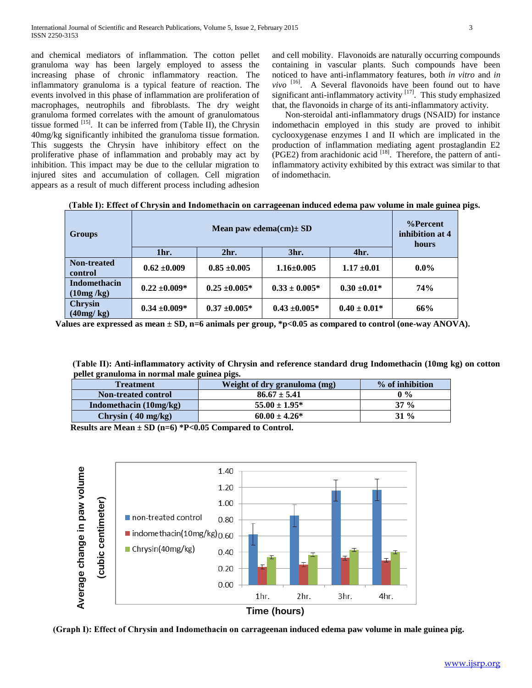and chemical mediators of inflammation. The cotton pellet granuloma way has been largely employed to assess the increasing phase of chronic inflammatory reaction. The inflammatory granuloma is a typical feature of reaction. The events involved in this phase of inflammation are proliferation of macrophages, neutrophils and fibroblasts. The dry weight granuloma formed correlates with the amount of granulomatous tissue formed  $^{[15]}$ . It can be inferred from (Table II), the Chrysin 40mg/kg significantly inhibited the granuloma tissue formation. This suggests the Chrysin have inhibitory effect on the proliferative phase of inflammation and probably may act by inhibition. This impact may be due to the cellular migration to injured sites and accumulation of collagen. Cell migration appears as a result of much different process including adhesion

and cell mobility. Flavonoids are naturally occurring compounds containing in vascular plants. Such compounds have been noticed to have anti-inflammatory features, both *in vitro* and *in*   $vivo$ <sup>[16]</sup>. A Several flavonoids have been found out to have significant anti-inflammatory activity  $[17]$ . This study emphasized that, the flavonoids in charge of its anti-inflammatory activity.

 Non-steroidal anti-inflammatory drugs (NSAID) for instance indomethacin employed in this study are proved to inhibit cyclooxygenase enzymes I and II which are implicated in the production of inflammation mediating agent prostaglandin E2 (PGE2) from arachidonic acid  $^{[18]}$ . Therefore, the pattern of antiinflammatory activity exhibited by this extract was similar to that of indomethacin.

|  | (Table I): Effect of Chrysin and Indomethacin on carrageenan induced edema paw volume in male guinea pigs. |  |  |
|--|------------------------------------------------------------------------------------------------------------|--|--|
|  |                                                                                                            |  |  |

| <b>Groups</b>                    |                   | %Percent<br>inhibition at 4<br>hours |                    |                  |            |
|----------------------------------|-------------------|--------------------------------------|--------------------|------------------|------------|
|                                  | 1hr.              | $2hr$ .                              | 3hr.               | 4hr.             |            |
| Non-treated<br>control           | $0.62 \pm 0.009$  | $0.85 \pm 0.005$                     | $1.16 \pm 0.005$   | $1.17 \pm 0.01$  | $0.0\%$    |
| <b>Indomethacin</b><br>(10mg/kg) | $0.22 \pm 0.009*$ | $0.25 \pm 0.005^*$                   | $0.33 \pm 0.005^*$ | $0.30 \pm 0.01*$ | <b>74%</b> |
| Chrysin<br>(40mg/kg)             | $0.34 \pm 0.009*$ | $0.37 \pm 0.005*$                    | $0.43 \pm 0.005*$  | $0.40 \pm 0.01*$ | 66%        |

 **Values are expressed as mean ± SD, n=6 animals per group, \*p<0.05 as compared to control (one-way ANOVA).**

 **(Table П): Anti-inflammatory activity of Chrysin and reference standard drug Indomethacin (10mg kg) on cotton pellet granuloma in normal male guinea pigs.**

| <b>Treatment</b>           | Weight of dry granuloma (mg) | % of inhibition |  |
|----------------------------|------------------------------|-----------------|--|
| <b>Non-treated control</b> | $86.67 \pm 5.41$             | $0\%$           |  |
| Indomethacin $(10mg/kg)$   | $55.00 \pm 1.95^*$           | $37\%$          |  |
| Chrysin(40 mg/kg)          | $60.00 \pm 4.26^*$           | $31\%$          |  |

 **Results are Mean ± SD (n=6) \*P<0.05 Compared to Control.**

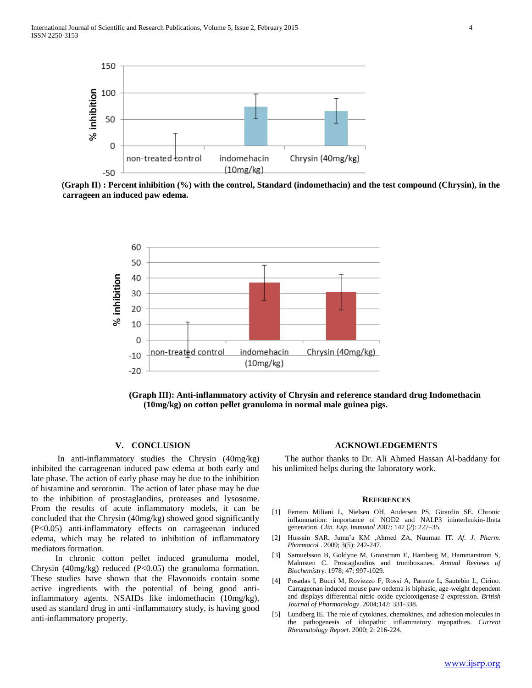

 **(Graph П( : Percent inhibition (%) with the control, Standard (indomethacin) and the test compound (Chrysin), in the carrageen an induced paw edema.**



 **(Graph III): Anti-inflammatory activity of Chrysin and reference standard drug Indomethacin (10mg/kg) on cotton pellet granuloma in normal male guinea pigs.**

#### **V. CONCLUSION**

 In anti-inflammatory studies the Chrysin (40mg/kg) inhibited the carrageenan induced paw edema at both early and late phase. The action of early phase may be due to the inhibition of histamine and serotonin. The action of later phase may be due to the inhibition of prostaglandins, proteases and lysosome. From the results of acute inflammatory models, it can be concluded that the Chrysin (40mg/kg) showed good significantly (P<0.05) anti-inflammatory effects on carrageenan induced edema, which may be related to inhibition of inflammatory mediators formation.

 In chronic cotton pellet induced granuloma model, Chrysin (40mg/kg) reduced (P<0.05) the granuloma formation. These studies have shown that the Flavonoids contain some active ingredients with the potential of being good antiinflammatory agents. NSAIDs like indomethacin (10mg/kg), used as standard drug in anti -inflammatory study, is having good anti-inflammatory property.

#### **ACKNOWLEDGEMENTS**

 The author thanks to Dr. Ali Ahmed Hassan Al-baddany for his unlimited helps during the laboratory work.

#### **REFERENCES**

- [1] Ferrero Miliani L, Nielsen OH, Andersen PS, Girardin SE. Chronic inflammation: importance of NOD2 and NALP3 ininterleukin-1beta generation. *Clin. Exp. Immunol* 2007; 147 (2): 227–35.
- [2] Hussain SAR, Juma'a KM ,Ahmed ZA, Nuuman IT. *Af. J. Pharm. Pharmacol* . 2009; 3(5): 242-247.
- [3] Samuelsson B, Goldyne M, Granstrom E, Hamberg M, Hammarstrom S, Malmsten C. Prostaglandins and tromboxanes. *Annual Reviews of Biochemistry*. 1978; 47: 997-1029.
- [4] Posadas I, Bucci M, Roviezzo F, Rossi A, Parente L, Sautebin L, Cirino. Carrageenan induced mouse paw oedema is biphasic, age-weight dependent and displays differential nitric oxide cyclooxigenase-2 expression. *British Journal of Pharmacology*. 2004;142: 331-338.
- [5] Lundberg IE. The role of cytokines, chemokines, and adhesion molecules in the pathogenesis of idiopathic inflammatory myopathies. *Current Rheumatology Report*. 2000; 2: 216-224.